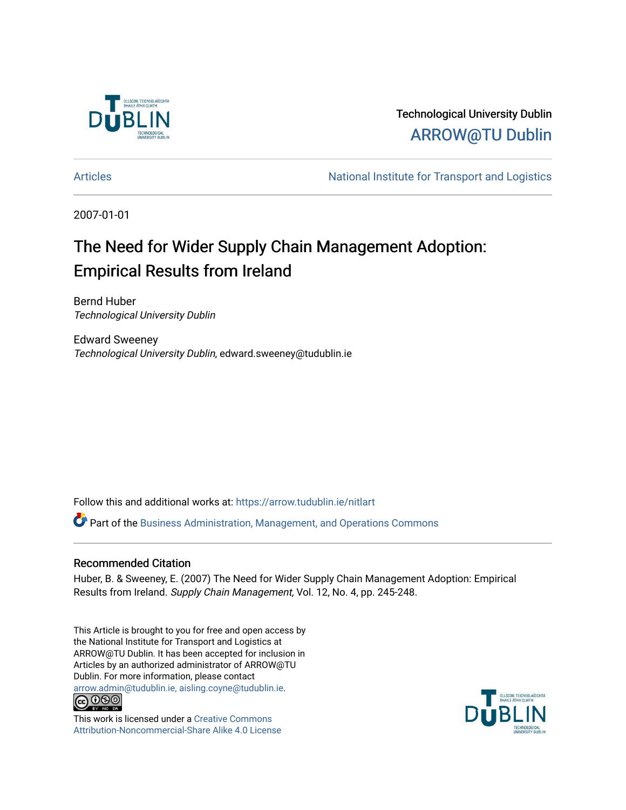

# Technological University Dublin [ARROW@TU Dublin](https://arrow.tudublin.ie/)

[Articles](https://arrow.tudublin.ie/nitlart) **Articles** Articles Articles Articles Articles Articles Articles Articles Articles Articles Articles Articles Articles Articles Articles Articles Articles Articles Articles Articles Articles Articles Articles Arti

2007-01-01

# The Need for Wider Supply Chain Management Adoption: Empirical Results from Ireland

Bernd Huber Technological University Dublin

Edward Sweeney Technological University Dublin, edward.sweeney@tudublin.ie

Follow this and additional works at: [https://arrow.tudublin.ie/nitlart](https://arrow.tudublin.ie/nitlart?utm_source=arrow.tudublin.ie%2Fnitlart%2F4&utm_medium=PDF&utm_campaign=PDFCoverPages) 

Part of the [Business Administration, Management, and Operations Commons](http://network.bepress.com/hgg/discipline/623?utm_source=arrow.tudublin.ie%2Fnitlart%2F4&utm_medium=PDF&utm_campaign=PDFCoverPages)

### Recommended Citation

Huber, B. & Sweeney, E. (2007) The Need for Wider Supply Chain Management Adoption: Empirical Results from Ireland. Supply Chain Management, Vol. 12, No. 4, pp. 245-248.

This Article is brought to you for free and open access by the National Institute for Transport and Logistics at ARROW@TU Dublin. It has been accepted for inclusion in Articles by an authorized administrator of ARROW@TU Dublin. For more information, please contact [arrow.admin@tudublin.ie, aisling.coyne@tudublin.ie](mailto:arrow.admin@tudublin.ie,%20aisling.coyne@tudublin.ie).<br>
co 000



This work is licensed under a [Creative Commons](http://creativecommons.org/licenses/by-nc-sa/4.0/) [Attribution-Noncommercial-Share Alike 4.0 License](http://creativecommons.org/licenses/by-nc-sa/4.0/)

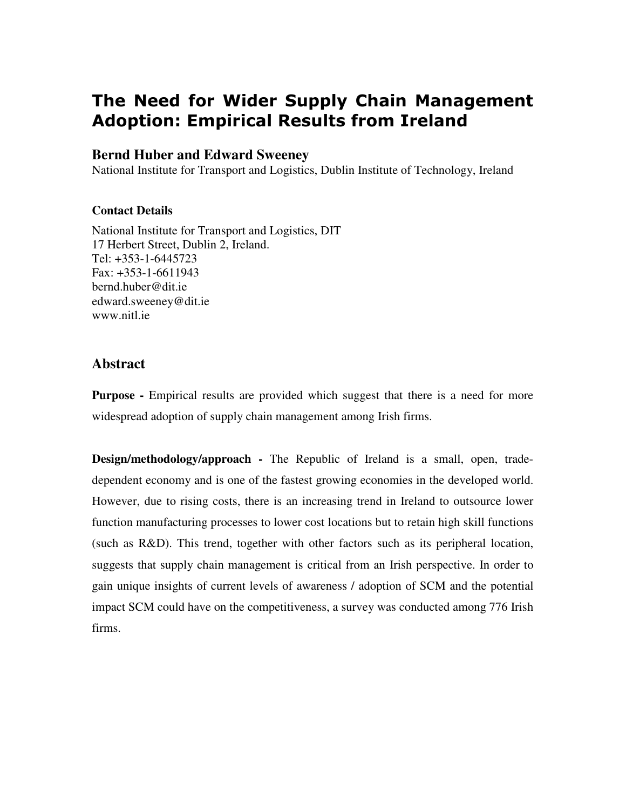# The Need for Wider Supply Chain Management Adoption: Empirical Results from Ireland

### **Bernd Huber and Edward Sweeney**

National Institute for Transport and Logistics, Dublin Institute of Technology, Ireland

### **Contact Details**

National Institute for Transport and Logistics, DIT 17 Herbert Street, Dublin 2, Ireland. Tel: +353-1-6445723 Fax: +353-1-6611943 bernd.huber@dit.ie edward.sweeney@dit.ie www.nitl.ie

# **Abstract**

**Purpose** - Empirical results are provided which suggest that there is a need for more widespread adoption of supply chain management among Irish firms.

**Design/methodology/approach -** The Republic of Ireland is a small, open, tradedependent economy and is one of the fastest growing economies in the developed world. However, due to rising costs, there is an increasing trend in Ireland to outsource lower function manufacturing processes to lower cost locations but to retain high skill functions (such as R&D). This trend, together with other factors such as its peripheral location, suggests that supply chain management is critical from an Irish perspective. In order to gain unique insights of current levels of awareness / adoption of SCM and the potential impact SCM could have on the competitiveness, a survey was conducted among 776 Irish firms.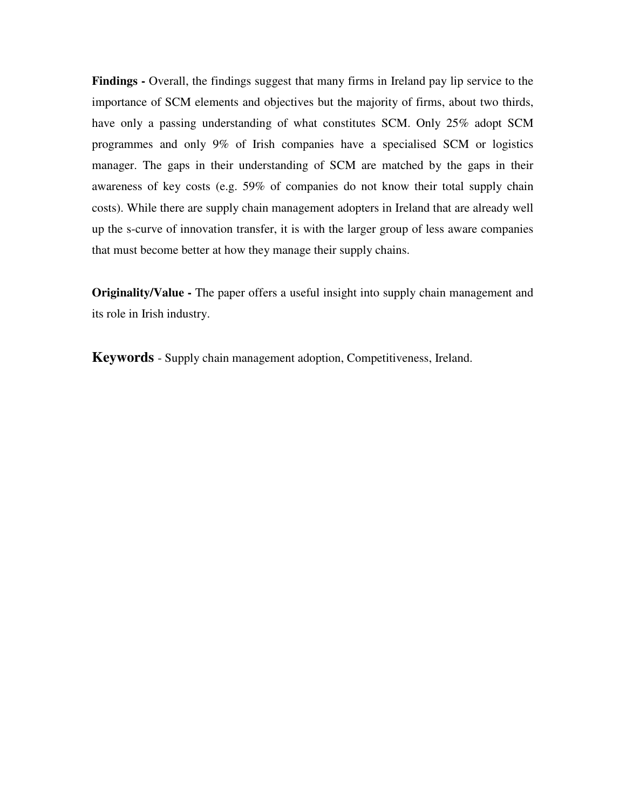**Findings -** Overall, the findings suggest that many firms in Ireland pay lip service to the importance of SCM elements and objectives but the majority of firms, about two thirds, have only a passing understanding of what constitutes SCM. Only 25% adopt SCM programmes and only 9% of Irish companies have a specialised SCM or logistics manager. The gaps in their understanding of SCM are matched by the gaps in their awareness of key costs (e.g. 59% of companies do not know their total supply chain costs). While there are supply chain management adopters in Ireland that are already well up the s-curve of innovation transfer, it is with the larger group of less aware companies that must become better at how they manage their supply chains.

**Originality/Value -** The paper offers a useful insight into supply chain management and its role in Irish industry.

**Keywords** - Supply chain management adoption, Competitiveness, Ireland.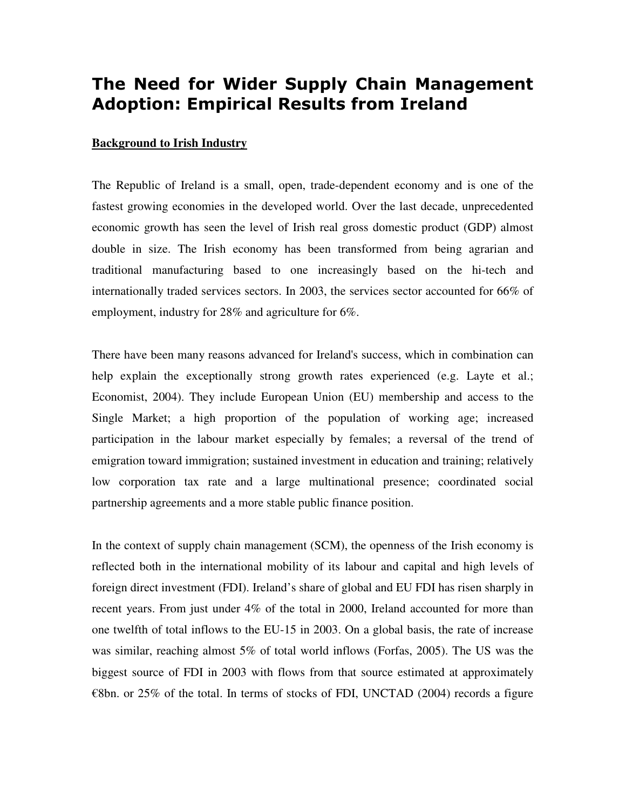# The Need for Wider Supply Chain Management Adoption: Empirical Results from Ireland

#### **Background to Irish Industry**

The Republic of Ireland is a small, open, trade-dependent economy and is one of the fastest growing economies in the developed world. Over the last decade, unprecedented economic growth has seen the level of Irish real gross domestic product (GDP) almost double in size. The Irish economy has been transformed from being agrarian and traditional manufacturing based to one increasingly based on the hi-tech and internationally traded services sectors. In 2003, the services sector accounted for 66% of employment, industry for 28% and agriculture for 6%.

There have been many reasons advanced for Ireland's success, which in combination can help explain the exceptionally strong growth rates experienced (e.g. Layte et al.; Economist, 2004). They include European Union (EU) membership and access to the Single Market; a high proportion of the population of working age; increased participation in the labour market especially by females; a reversal of the trend of emigration toward immigration; sustained investment in education and training; relatively low corporation tax rate and a large multinational presence; coordinated social partnership agreements and a more stable public finance position.

In the context of supply chain management (SCM), the openness of the Irish economy is reflected both in the international mobility of its labour and capital and high levels of foreign direct investment (FDI). Ireland's share of global and EU FDI has risen sharply in recent years. From just under 4% of the total in 2000, Ireland accounted for more than one twelfth of total inflows to the EU-15 in 2003. On a global basis, the rate of increase was similar, reaching almost 5% of total world inflows (Forfas, 2005). The US was the biggest source of FDI in 2003 with flows from that source estimated at approximately  $\epsilon$ 8bn. or 25% of the total. In terms of stocks of FDI, UNCTAD (2004) records a figure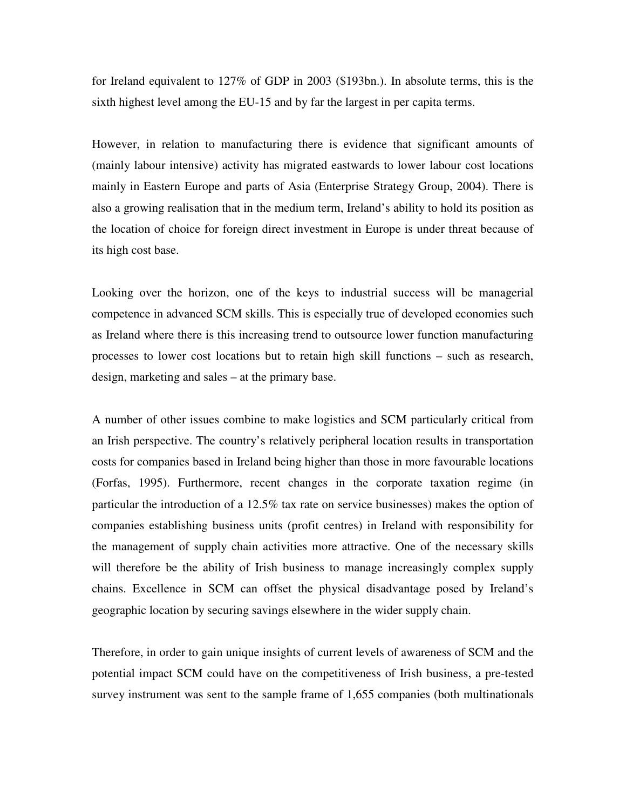for Ireland equivalent to 127% of GDP in 2003 (\$193bn.). In absolute terms, this is the sixth highest level among the EU-15 and by far the largest in per capita terms.

However, in relation to manufacturing there is evidence that significant amounts of (mainly labour intensive) activity has migrated eastwards to lower labour cost locations mainly in Eastern Europe and parts of Asia (Enterprise Strategy Group, 2004). There is also a growing realisation that in the medium term, Ireland's ability to hold its position as the location of choice for foreign direct investment in Europe is under threat because of its high cost base.

Looking over the horizon, one of the keys to industrial success will be managerial competence in advanced SCM skills. This is especially true of developed economies such as Ireland where there is this increasing trend to outsource lower function manufacturing processes to lower cost locations but to retain high skill functions – such as research, design, marketing and sales – at the primary base.

A number of other issues combine to make logistics and SCM particularly critical from an Irish perspective. The country's relatively peripheral location results in transportation costs for companies based in Ireland being higher than those in more favourable locations (Forfas, 1995). Furthermore, recent changes in the corporate taxation regime (in particular the introduction of a 12.5% tax rate on service businesses) makes the option of companies establishing business units (profit centres) in Ireland with responsibility for the management of supply chain activities more attractive. One of the necessary skills will therefore be the ability of Irish business to manage increasingly complex supply chains. Excellence in SCM can offset the physical disadvantage posed by Ireland's geographic location by securing savings elsewhere in the wider supply chain.

Therefore, in order to gain unique insights of current levels of awareness of SCM and the potential impact SCM could have on the competitiveness of Irish business, a pre-tested survey instrument was sent to the sample frame of 1,655 companies (both multinationals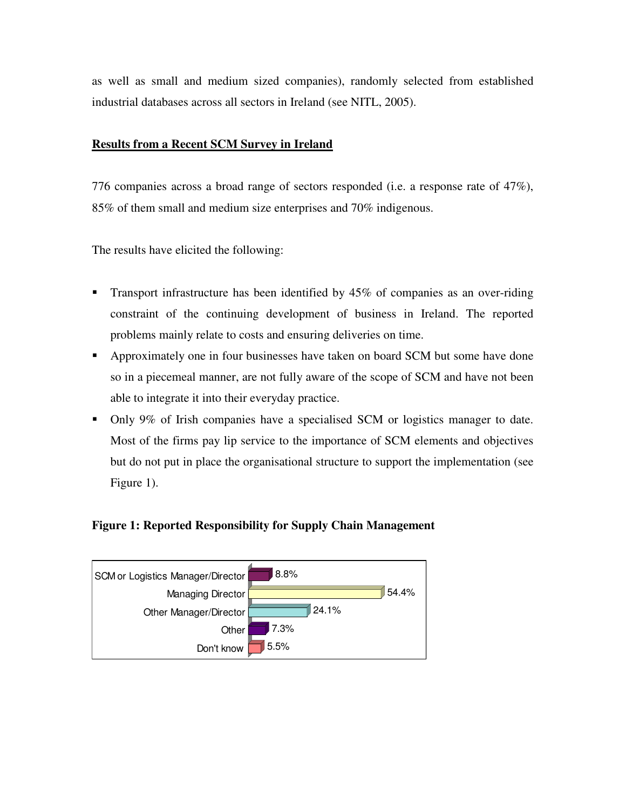as well as small and medium sized companies), randomly selected from established industrial databases across all sectors in Ireland (see NITL, 2005).

### **Results from a Recent SCM Survey in Ireland**

776 companies across a broad range of sectors responded (i.e. a response rate of 47%), 85% of them small and medium size enterprises and 70% indigenous.

The results have elicited the following:

- **Transport infrastructure has been identified by 45% of companies as an over-riding** constraint of the continuing development of business in Ireland. The reported problems mainly relate to costs and ensuring deliveries on time.
- Approximately one in four businesses have taken on board SCM but some have done so in a piecemeal manner, are not fully aware of the scope of SCM and have not been able to integrate it into their everyday practice.
- Only 9% of Irish companies have a specialised SCM or logistics manager to date. Most of the firms pay lip service to the importance of SCM elements and objectives but do not put in place the organisational structure to support the implementation (see Figure 1).

### **Figure 1: Reported Responsibility for Supply Chain Management**

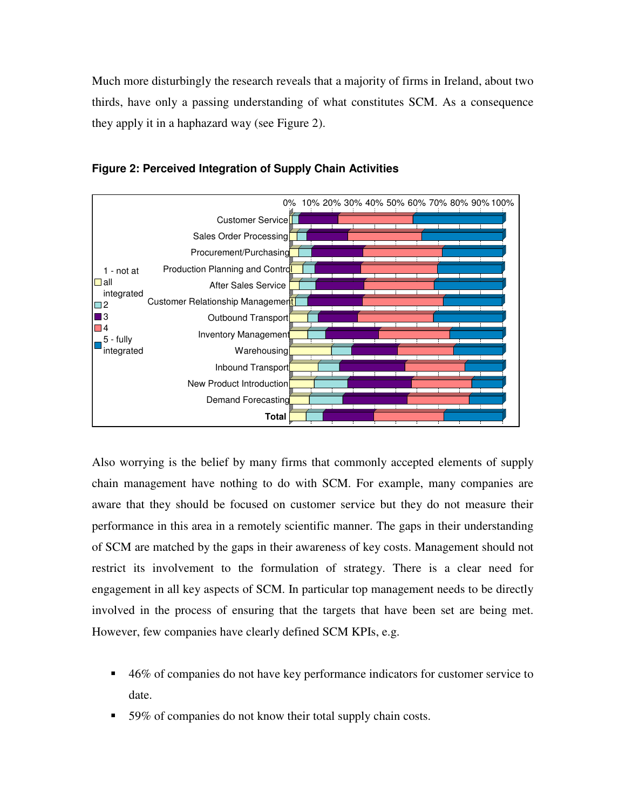Much more disturbingly the research reveals that a majority of firms in Ireland, about two thirds, have only a passing understanding of what constitutes SCM. As a consequence they apply it in a haphazard way (see Figure 2).





Also worrying is the belief by many firms that commonly accepted elements of supply chain management have nothing to do with SCM. For example, many companies are aware that they should be focused on customer service but they do not measure their performance in this area in a remotely scientific manner. The gaps in their understanding of SCM are matched by the gaps in their awareness of key costs. Management should not restrict its involvement to the formulation of strategy. There is a clear need for engagement in all key aspects of SCM. In particular top management needs to be directly involved in the process of ensuring that the targets that have been set are being met. However, few companies have clearly defined SCM KPIs, e.g.

- 46% of companies do not have key performance indicators for customer service to date.
- 59% of companies do not know their total supply chain costs.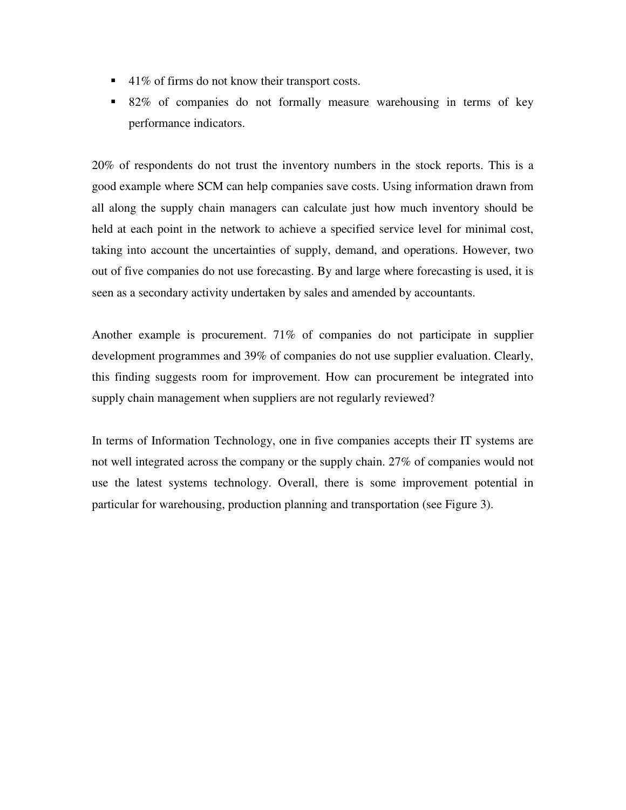- $\blacksquare$  41% of firms do not know their transport costs.
- 82% of companies do not formally measure warehousing in terms of key performance indicators.

20% of respondents do not trust the inventory numbers in the stock reports. This is a good example where SCM can help companies save costs. Using information drawn from all along the supply chain managers can calculate just how much inventory should be held at each point in the network to achieve a specified service level for minimal cost, taking into account the uncertainties of supply, demand, and operations. However, two out of five companies do not use forecasting. By and large where forecasting is used, it is seen as a secondary activity undertaken by sales and amended by accountants.

Another example is procurement. 71% of companies do not participate in supplier development programmes and 39% of companies do not use supplier evaluation. Clearly, this finding suggests room for improvement. How can procurement be integrated into supply chain management when suppliers are not regularly reviewed?

In terms of Information Technology, one in five companies accepts their IT systems are not well integrated across the company or the supply chain. 27% of companies would not use the latest systems technology. Overall, there is some improvement potential in particular for warehousing, production planning and transportation (see Figure 3).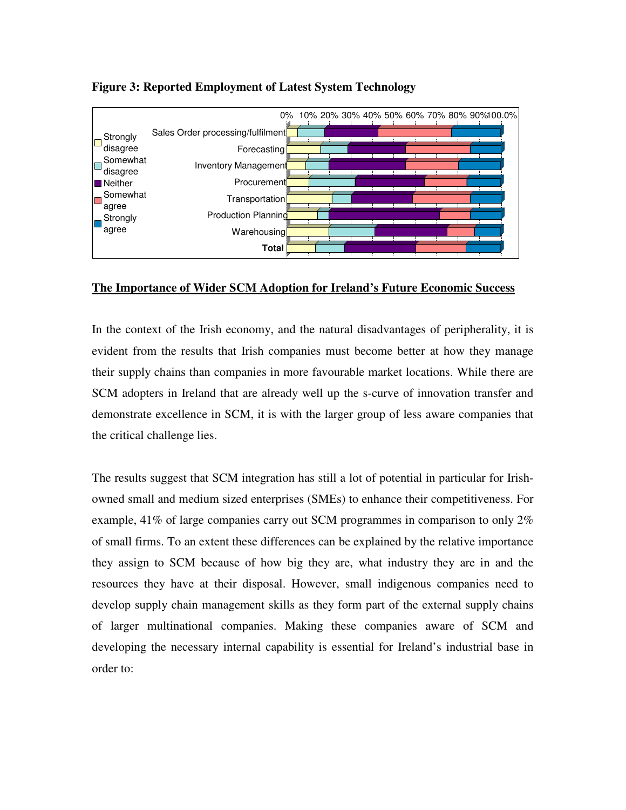

## **Figure 3: Reported Employment of Latest System Technology**

### **The Importance of Wider SCM Adoption for Ireland's Future Economic Success**

In the context of the Irish economy, and the natural disadvantages of peripherality, it is evident from the results that Irish companies must become better at how they manage their supply chains than companies in more favourable market locations. While there are SCM adopters in Ireland that are already well up the s-curve of innovation transfer and demonstrate excellence in SCM, it is with the larger group of less aware companies that the critical challenge lies.

The results suggest that SCM integration has still a lot of potential in particular for Irishowned small and medium sized enterprises (SMEs) to enhance their competitiveness. For example, 41% of large companies carry out SCM programmes in comparison to only 2% of small firms. To an extent these differences can be explained by the relative importance they assign to SCM because of how big they are, what industry they are in and the resources they have at their disposal. However, small indigenous companies need to develop supply chain management skills as they form part of the external supply chains of larger multinational companies. Making these companies aware of SCM and developing the necessary internal capability is essential for Ireland's industrial base in order to: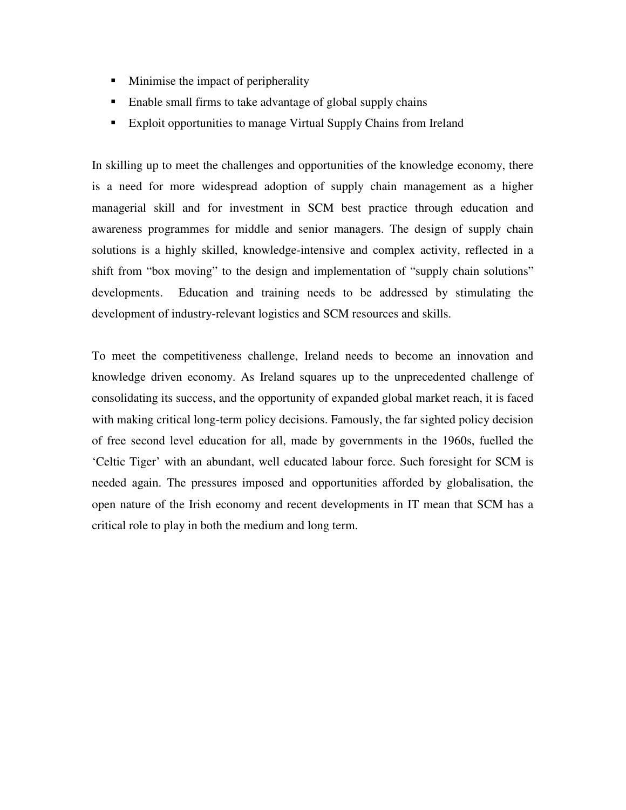- **Minimise the impact of peripherality**
- Enable small firms to take advantage of global supply chains
- Exploit opportunities to manage Virtual Supply Chains from Ireland

In skilling up to meet the challenges and opportunities of the knowledge economy, there is a need for more widespread adoption of supply chain management as a higher managerial skill and for investment in SCM best practice through education and awareness programmes for middle and senior managers. The design of supply chain solutions is a highly skilled, knowledge-intensive and complex activity, reflected in a shift from "box moving" to the design and implementation of "supply chain solutions" developments. Education and training needs to be addressed by stimulating the development of industry-relevant logistics and SCM resources and skills.

To meet the competitiveness challenge, Ireland needs to become an innovation and knowledge driven economy. As Ireland squares up to the unprecedented challenge of consolidating its success, and the opportunity of expanded global market reach, it is faced with making critical long-term policy decisions. Famously, the far sighted policy decision of free second level education for all, made by governments in the 1960s, fuelled the 'Celtic Tiger' with an abundant, well educated labour force. Such foresight for SCM is needed again. The pressures imposed and opportunities afforded by globalisation, the open nature of the Irish economy and recent developments in IT mean that SCM has a critical role to play in both the medium and long term.